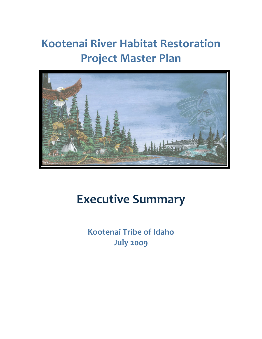# **Kootenai River Habitat Restoration Project Master Plan**



# **Executive Summary**

**Kootenai Tribe of Idaho July 2009**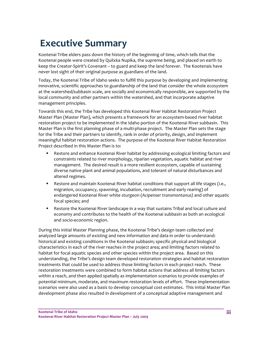# **Executive Summary**

Kootenai Tribe elders pass down the history of the beginning of time, which tells that the Kootenai people were created by Quilxka Nupika, the supreme being, and placed on earth to keep the Creator‐Spirit's Covenant – to guard and keep the land forever. The Kootenais have never lost sight of their original purpose as guardians of the land.

Today, the Kootenai Tribe of Idaho seeks to fulfill this purpose by developing and implementing innovative, scientific approaches to guardianship of the land that consider the whole ecosystem at the watershed/subbasin scale, are socially and economically responsible, are supported by the local community and other partners within the watershed, and that incorporate adaptive management principles.

Towards this end, the Tribe has developed this Kootenai River Habitat Restoration Project Master Plan (Master Plan), which presents a framework for an ecosystem-based river habitat restoration project to be implemented in the Idaho portion of the Kootenai River subbasin. This Master Plan is the first planning phase of a multi‐phase project. The Master Plan sets the stage for the Tribe and their partners to identify, rank in order of priority, design, and implement meaningful habitat restoration actions. The purpose of the Kootenai River Habitat Restoration Project described in this Master Plan is to:

- Restore and enhance Kootenai River habitat by addressing ecological limiting factors and constraints related to river morphology, riparian vegetation, aquatic habitat and river management. The desired result is a more resilient ecosystem, capable of sustaining diverse native plant and animal populations, and tolerant of natural disturbances and altered regimes.
- **Restore and maintain Kootenai River habitat conditions that support all life stages (i.e.,** migration, occupancy, spawning, incubation, recruitment and early rearing) of endangered Kootenai River white sturgeon (*Acipenser transmontanus)* and other aquatic focal species; and
- Restore the Kootenai River landscape in a way that sustains Tribal and local culture and economy and contributes to the health of the Kootenai subbasin as both an ecological and socio‐economic region.

During this initial Master Planning phase, the Kootenai Tribe's design team collected and analyzed large amounts of existing and new information and data in order to understand: historical and existing conditions in the Kootenai subbasin; specific physical and biological characteristics in each of the river reaches in the project area; and limiting factors related to habitat for focal aquatic species and other species within the project area. Based on this understanding, the Tribe's design team developed restoration strategies and habitat restoration treatments that could be used to address those limiting factors in each project reach. These restoration treatments were combined to form habitat actions that address all limiting factors within a reach, and then applied spatially as implementation scenarios to provide examples of potential minimum, moderate, and maximum restoration levels of effort. These implementation scenarios were also used as a basis to develop conceptual cost estimates. This initial Master Plan development phase also resulted in development of a conceptual adaptive management and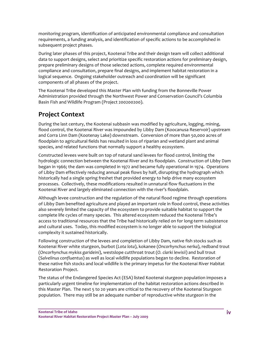monitoring program, identification of anticipated environmental compliance and consultation requirements, a funding analysis, and identification of specific actions to be accomplished in subsequent project phases.

During later phases of this project, Kootenai Tribe and their design team will collect additional data to support designs, select and prioritize specific restoration actions for preliminary design, prepare preliminary designs of those selected actions, complete required environmental compliance and consultation, prepare final designs, and implement habitat restoration in a logical sequence. Ongoing stakeholder outreach and coordination will be significant components of all phases of the project.

The Kootenai Tribe developed this Master Plan with funding from the Bonneville Power Administration provided through the Northwest Power and Conservation Council's Columbia Basin Fish and Wildlife Program (Project 200200200).

## **Project Context**

During the last century, the Kootenai subbasin was modified by agriculture, logging, mining, flood control, the Kootenai River was impounded by Libby Dam (Koocanusa Reservoir) upstream and Corra Linn Dam (Kootenay Lake) downstream. Conversion of more than 50,000 acres of floodplain to agricultural fields has resulted in loss of riparian and wetland plant and animal species, and related functions that normally support a healthy ecosystem.

Constructed levees were built on top of natural sand levees for flood control, limiting the hydrologic connection between the Kootenai River and its floodplain. Construction of Libby Dam began in 1966; the dam was completed in 1972 and became fully operational in 1974. Operations of Libby Dam effectively reducing annual peak flows by half, disrupting the hydrograph which historically had a single spring freshet that provided energy to help drive many ecosystem processes. Collectively, these modifications resulted in unnatural flow fluctuations in the Kootenai River and largely eliminated connection with the river's floodplain.

Although levee construction and the regulation of the natural flood regime through operations of Libby Dam benefited agriculture and played an important role in flood control, these activities also severely limited the capacity of the ecosystem to provide suitable habitat to support the complete life cycles of many species. This altered ecosystem reduced the Kootenai Tribe's access to traditional resources that the Tribe had historically relied on for long-term subsistence and cultural uses. Today, this modified ecosystem is no longer able to support the biological complexity it sustained historically.

Following construction of the levees and completion of Libby Dam, native fish stocks such as Kootenai River white sturgeon, burbot (*Lota lota*), kokanee (*Oncorhynchus nerka*), redband trout (*Oncorhynchus mykiss garideini*), westslope cutthroat trout (*O. clarki lewisii*) and bull trout (*Salvelinus confluentus*) as well as local wildlife populations began to decline. Restoration of these native fish stocks and local wildlife is the primary impetus for the Kootenai River Habitat Restoration Project.

The status of the Endangered Species Act (ESA) listed Kootenai sturgeon population imposes a particularly urgent timeline for implementation of the habitat restoration actions described in this Master Plan. The next 5 to 20 years are critical to the recovery of the Kootenai Sturgeon population. There may still be an adequate number of reproductive white sturgeon in the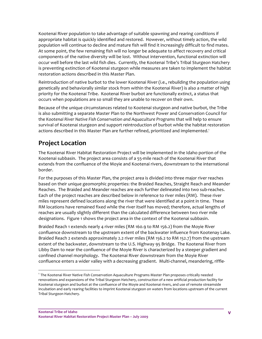Kootenai River population to take advantage of suitable spawning and rearing conditions if appropriate habitat is quickly identified and restored. However, without timely action, the wild population will continue to decline and mature fish will find it increasingly difficult to find mates. At some point, the few remaining fish will no longer be adequate to affect recovery and critical components of the native diversity will be lost. Without intervention, functional extinction will occur well before the last wild fish dies. Currently, the Kootenai Tribe's Tribal Sturgeon Hatchery is preventing extinction of Kootenai sturgeon while measures are taken to implement the habitat restoration actions described in this Master Plan.

Reintroduction of native burbot to the lower Kootenai River (i.e., rebuilding the population using genetically and behaviorally similar stock from within the Kootenai River) is also a matter of high priority for the Kootenai Tribe. Kootenai River burbot are functionally extinct, a status that occurs when populations are so small they are unable to recover on their own.

Because of the unique circumstances related to Kootenai sturgeon and native burbot, the Tribe is also submitting a separate Master Plan to the Northwest Power and Conservation Council for the *Kootenai River Native Fish Conservation and Aquaculture Programs* that will help to ensure survival of Kootenai sturgeon and support reintroduction of burbot while the habitat restoration actions described in this Master Plan are further refined, prioritized and implemented.<sup>1</sup>

## **Project Location**

The Kootenai River Habitat Restoration Project will be implemented in the Idaho portion of the Kootenai subbasin. The project area consists of a 55‐mile reach of the Kootenai River that extends from the confluence of the Moyie and Kootenai rivers, downstream to the international border.

For the purposes of this Master Plan, the project area is divided into three major river reaches based on their unique geomorphic properties: the Braided Reaches, Straight Reach and Meander Reaches. The Braided and Meander reaches are each further delineated into two sub‐reaches. Each of the project reaches are described below in reference to river miles (RM). These river miles represent defined locations along the river that were identified at a point in time. These RM locations have remained fixed while the river itself has moved; therefore, actual lengths of reaches are usually slightly different than the calculated difference between two river mile designations. Figure 1 shows the project area in the context of the Kootenai subbasin.

Braided Reach 1 extends nearly 4 river miles (RM 160.9 to RM 156.2) from the Moyie River confluence downstream to the upstream extent of the backwater influence from Kootenay Lake. Braided Reach 2 extends approximately 2.2 river miles (RM 156.2 to RM 152.7) from the upstream extent of the backwater, downstream to the U.S. Highway 95 Bridge. The Kootenai River from Libby Dam to near the confluence of the Moyie River is characterized by a steeper gradient and confined channel morphology. The Kootenai River downstream from the Moyie River confluence enters a wider valley with a decreasing gradient. Multi‐channel, meandering, riffle‐

<sup>1</sup> The Kootenai River Native Fish Conservation Aquaculture Programs Master Plan proposes critically needed renovations and expansions of the Tribal Sturgeon Hatchery, construction of a new artificial production facility for Kootenai sturgeon and burbot at the confluence of the Moyie and Kootenai rivers, and use of remote streamside incubation and early rearing facilities to imprint Kootenai sturgeon on waters from locations upstream of the current Tribal Sturgeon Hatchery.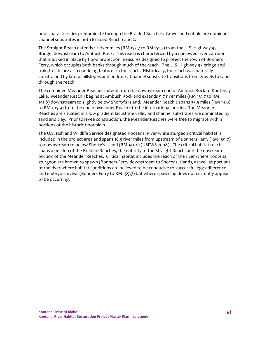pool characteristics predominate through the Braided Reaches. Gravel and cobble are dominant channel substrates in both Braided Reach 1 and 2.

The Straight Reach extends 1.1 river miles (RM 152.7 to RM 151.7) from the U.S. Highway 95 Bridge, downstream to Ambush Rock. This reach is characterized by a narrowed river corridor that is locked in place by flood protection measures designed to protect the town of Bonners Ferry, which occupies both banks through much of the reach. The U.S. Highway 95 bridge and train trestle are also confining features in the reach. Historically, the reach was naturally constrained by lateral hillslopes and bedrock. Channel substrate transitions from gravels to sand through the reach.

The combined Meander Reaches extend from the downstream end of Ambush Rock to Kootenay Lake. Meander Reach 1 begins at Ambush Rock and extends 9.7 river miles (RM 151.7 to RM 141.8) downstream to slightly below Shorty's Island. Meander Reach 2 spans 35.5 miles (RM 141.8 to RM 105.9) from the end of Meander Reach 1 to the international border. The Meander Reaches are situated in a low gradient lacustrine valley and channel substrates are dominated by sand and clay. Prior to levee construction, the Meander Reaches were free to migrate within portions of the historic floodplain.

The U.S. Fish and Wildlife Service designated Kootenai River white sturgeon critical habitat is included in the project area and spans 18.3 river miles from upstream of Bonners Ferry (RM 159.7) to downstream to below Shorty's Island (RM 141.4) (USFWS 2008). The critical habitat reach spans a portion of the Braided Reaches, the entirety of the Straight Reach, and the upstream portion of the Meander Reaches. Critical habitat includes the reach of the river where Kootenai sturgeon are known to spawn (Bonners Ferry downstream to Shorty's Island), as well as portions of the river where habitat conditions are believed to be conducive to successful egg adherence and embryo survival (Bonners Ferry to RM 159.7) but where spawning does not currently appear to be occurring.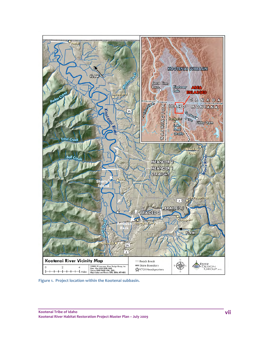

**Figure 1. Project location within the Kootenai subbasin.**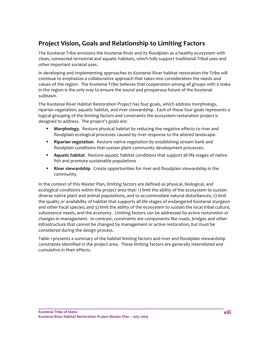## **Project Vision, Goals and Relationship to Limiting Factors**

The Kootenai Tribe envisions the Kootenai River and its floodplain as a healthy ecosystem with clean, connected terrestrial and aquatic habitats, which fully support traditional Tribal uses and other important societal uses.

In developing and implementing approaches to Kootenai River habitat restoration the Tribe will continue to emphasize a collaborative approach that takes into consideration the needs and values of the region. The Kootenai Tribe believes that cooperation among all groups with a stake in the region is the only way to ensure the sound and prosperous future of the Kootenai subbasin.

The Kootenai River Habitat Restoration Project has four goals, which address morphology, riparian vegetation, aquatic habitat, and river stewardship. Each of these four goals represents a logical grouping of the limiting factors and constraints the ecosystem restoration project is designed to address. The project's goals are:

- **Morphology**. Restore physical habitat by reducing the negative effects to river and floodplain ecological processes caused by river response to the altered landscape.
- **Riparian vegetation.** Restore native vegetation by establishing stream bank and floodplain conditions that sustain plant community development processes.
- **Aquatic habitat**. Restore aquatic habitat conditions that support all life stages of native fish and promote sustainable populations
- **River stewardship.** Create opportunities for river and floodplain stewardship in the community.

In the context of this Master Plan, limiting factors are defined as physical, biological, and ecological conditions within the project area that: 1) limit the ability of the ecosystem to sustain diverse native plant and animal populations, and to accommodate natural disturbances; 2) limit the quality or availability of habitat that supports all life stages of endangered Kootenai sturgeon and other focal species; and 3) limit the ability of the ecosystem to sustain the local tribal culture, subsistence needs, and the economy. Limiting factors can be addressed by active restoration or changes in management. In contrast, constraints are components like roads, bridges and other infrastructure that cannot be changed by management or active restoration, but must be considered during the design process.

Table 1 presents a summary of the habitat limiting factors and river and floodplain stewardship constraints identified in the project area. These limiting factors are generally interrelated and cumulative in their effects.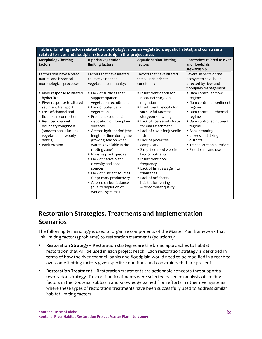| Table 1. Limiting factors related to morphology, riparian vegetation, aquatic habitat, and constraints<br>related to river and floodplain stewardship in the project area.                                                                                             |                                                                                                                                                                                                                                                                                                                                                                                                                                                                                                                              |                                                                                                                                                                                                                                                                                                                                                                                                                                                                          |                                                                                                                                                                                                                                                                 |
|------------------------------------------------------------------------------------------------------------------------------------------------------------------------------------------------------------------------------------------------------------------------|------------------------------------------------------------------------------------------------------------------------------------------------------------------------------------------------------------------------------------------------------------------------------------------------------------------------------------------------------------------------------------------------------------------------------------------------------------------------------------------------------------------------------|--------------------------------------------------------------------------------------------------------------------------------------------------------------------------------------------------------------------------------------------------------------------------------------------------------------------------------------------------------------------------------------------------------------------------------------------------------------------------|-----------------------------------------------------------------------------------------------------------------------------------------------------------------------------------------------------------------------------------------------------------------|
| <b>Morphology limiting</b><br>factors                                                                                                                                                                                                                                  | <b>Riparian vegetation</b><br>limiting factors                                                                                                                                                                                                                                                                                                                                                                                                                                                                               | <b>Aquatic habitat limiting</b><br>factors                                                                                                                                                                                                                                                                                                                                                                                                                               | Constraints related to river<br>and floodplain<br>stewardship                                                                                                                                                                                                   |
| Factors that have altered<br>natural and historical<br>morphological processes:                                                                                                                                                                                        | Factors that have altered<br>the native riparian<br>vegetation community:                                                                                                                                                                                                                                                                                                                                                                                                                                                    | Factors that have altered<br>the aquatic habitat<br>conditions:                                                                                                                                                                                                                                                                                                                                                                                                          | Several aspects of the<br>ecosystem have been<br>affected by river and<br>floodplain management:                                                                                                                                                                |
| ■ River response to altered<br>hydraulics<br>River response to altered<br>sediment transport<br>• Loss of channel and<br>floodplain connection<br>• Reduced channel<br>boundary roughness<br>(smooth banks lacking<br>vegetation or woody<br>debris)<br>■ Bank erosion | • Lack of surfaces that<br>support riparian<br>vegetation recruitment<br>■ Lack of outer bank<br>vegetation<br>■ Frequent scour and<br>deposition of floodplain<br>surfaces<br>Altered hydroperiod (the<br>length of time during the<br>growing season when<br>water is available in the<br>rooting zone)<br>Invasive plant species<br>Lack of native plant<br>diversity and seed<br>sources<br>■ Lack of nutrient sources<br>for primary productivity<br>Altered carbon balance<br>(due to depletion of<br>wetland systems) | Insufficient depth for<br>Kootenai sturgeon<br>migration<br>Insufficient velocity for<br>successful Kootenai<br>sturgeon spawning<br>Lack of coarse substrate<br>for egg attachment<br>Lack of cover for juvenile<br>fish<br>Lack of pool-riffle<br>complexity<br>■ Simplified food web from<br>lack of nutrients<br>Insufficient pool<br>frequency<br>Lack of fish passage into<br>tributaries<br>■ Lack of off-channel<br>habitat for rearing<br>Altered water quality | • Dam controlled flow<br>regime<br>• Dam controlled sediment<br>regime<br>• Dam controlled thermal<br>regime<br>• Dam controlled nutrient<br>regime<br>■ Bank armoring<br>Levees and diking<br>districts<br>■ Transportation corridors<br>· Floodplain land use |

## **Restoration Strategies, Treatments and Implementation Scenarios**

The following terminology is used to organize components of the Master Plan framework that link limiting factors (problems) to restoration treatments (solutions):

- **Restoration Strategy** *–* Restoration strategies are the broad approaches to habitat restoration that will be used in each project reach. Each restoration strategy is described in terms of how the river channel, banks and floodplain would need to be modified in a reach to overcome limiting factors given specific conditions and constraints that are present.
- **Restoration Treatment** *–* Restoration treatments are actionable concepts that support a restoration strategy. Restoration treatments were selected based on analysis of limiting factors in the Kootenai subbasin and knowledge gained from efforts in other river systems where these types of restoration treatments have been successfully used to address similar habitat limiting factors.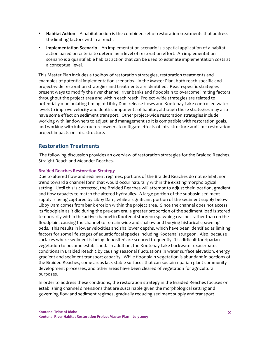- **Habitat Action** *–* A habitat action is the combined set of restoration treatments that address the limiting factors within a reach.
- **Implementation Scenario** An implementation scenario is a spatial application of a habitat action based on criteria to determine a level of restoration effort. An implementation scenario is a quantifiable habitat action that can be used to estimate implementation costs at a conceptual level.

This Master Plan includes a toolbox of restoration strategies, restoration treatments and examples of potential implementation scenarios. In the Master Plan, both reach‐specific and project‐wide restoration strategies and treatments are identified. Reach‐specific strategies present ways to modify the river channel, river banks and floodplain to overcome limiting factors throughout the project area and within each reach. Project ‐wide strategies are related to potentially manipulating timing of Libby Dam release flows and Kootenay Lake‐controlled water levels to improve velocity and depth components of habitat, although these strategies may also have some effect on sediment transport. Other project-wide restoration strategies include working with landowners to adjust land management so it is compatible with restoration goals, and working with infrastructure owners to mitigate effects of infrastructure and limit restoration project impacts on infrastructure.

### **Restoration Treatments**

 The following discussion provides an overview of restoration strategies for the Braided Reaches, Straight Reach and Meander Reaches.

#### **Braided Reaches Restoration Strategy**

Due to altered flow and sediment regimes, portions of the Braided Reaches do not exhibit, nor trend toward a channel form that would occur naturally within the existing morphological setting. Until this is corrected, the Braided Reaches will attempt to adjust their location, gradient and flow capacity to match the altered hydraulics. A large portion of the subbasin sediment supply is being captured by Libby Dam, while a significant portion of the sediment supply below Libby Dam comes from bank erosion within the project area. Since the channel does not access its floodplain as it did during the pre‐dam era, a greater proportion of the sediment load is stored temporarily within the active channel in Kootenai sturgeon spawning reaches rather than on the floodplain, causing the channel to remain wide and shallow and burying historical spawning beds. This results in lower velocities and shallower depths, which have been identified as limiting factors for some life stages of aquatic focal species including Kootenai sturgeon. Also, because surfaces where sediment is being deposited are scoured frequently, it is difficult for riparian vegetation to become established. In addition, the Kootenay Lake backwater exacerbates conditions in Braided Reach 2 by causing seasonal fluctuations in water surface elevation, energy gradient and sediment transport capacity. While floodplain vegetation is abundant in portions of the Braided Reaches, some areas lack stable surfaces that can sustain riparian plant community development processes, and other areas have been cleared of vegetation for agricultural purposes.

In order to address these conditions, the restoration strategy in the Braided Reaches focuses on establishing channel dimensions that are sustainable given the morphological setting and governing flow and sediment regimes, gradually reducing sediment supply and transport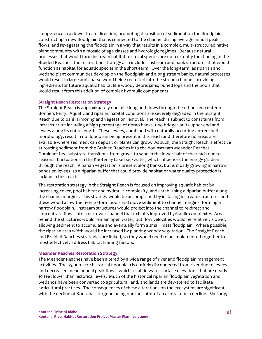competence in a downstream direction, promoting deposition of sediment on the floodplain, constructing a new floodplain that is connected to the channel during average annual peak flows, and revegetating the floodplain in a way that results in a complex, multi-structured native plant community with a mosaic of age classes and hydrologic regimes. Because natural processes that would form instream habitat for focal species are not currently functioning in the Braided Reaches, the restoration strategy also includes instream and bank structures that would function as habitat for aquatic species in the short-term. Over the long-term, as riparian and wetland plant communities develop on the floodplain and along stream banks, natural processes would result in large and coarse wood being recruited into the stream channel, providing ingredients for future aquatic habitat like woody debris jams, buried logs and the pools that would result from this addition of complex hydraulic components.

#### **Straight Reach Restoration Strategy**

The Straight Reach is approximately one mile long and flows through the urbanized center of Bonners Ferry. Aquatic and riparian habitat conditions are severely degraded in the Straight Reach due to bank armoring and vegetation removal. The reach is subject to constraints from infrastructure including a high percentage of riprap banks, two bridges at its upper end and levees along its entire length. These levees, combined with naturally occurring entrenched morphology, result in no floodplain being present in this reach and therefore no areas are available where sediment can deposit or plants can grow. As such, the Straight Reach is effective at routing sediment from the Braided Reaches into the downstream Meander Reaches. Dominant bed substrate transitions from gravel to sand in the lower half of the reach due to seasonal fluctuations in the Kootenay Lake backwater, which influences the energy gradient through the reach. Riparian vegetation is present along banks, but is mostly growing in narrow bands on levees, so a riparian buffer that could provide habitat or water quality protection is lacking in this reach.

The restoration strategy in the Straight Reach is focused on improving aquatic habitat by increasing cover, pool habitat and hydraulic complexity, and establishing a riparian buffer along the channel margins. This strategy would be accomplished by installing instream structures and these would allow the river to form pools and move sediment to channel margins, forming a narrow floodplain. Instream structures would project into the channel to re‐direct and concentrate flows into a narrower channel that exhibits improved hydraulic complexity. Areas behind the structures would remain open water, but flow velocities would be relatively slower, allowing sediment to accumulate and eventually form a small, inset floodplain. Where possible, the riparian area width would be increased by planting woody vegetation. The Straight Reach and Braided Reaches strategies are linked, so they would need to be implemented together to most effectively address habitat limiting factors.

#### **Meander Reaches Restoration Strategy**

The Meander Reaches have been altered by a wide range of river and floodplain management activities. The 55,000‐acre historical floodplain is entirely disconnected from river due to levees and decreased mean annual peak flows, which result in water‐surface elevations that are nearly 10 feet lower than historical levels. Much of the historical riparian floodplain vegetation and wetlands have been converted to agricultural land, and lands are dewatered to facilitate agricultural practices. The consequences of these alterations on the ecosystem are significant, with the decline of Kootenai sturgeon being one indicator of an ecosystem in decline. Similarly,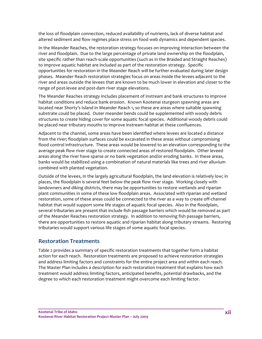the loss of floodplain connection, reduced availability of nutrients, lack of diverse habitat and altered sediment and flow regimes place stress on food web dynamics and dependent species.

In the Meander Reaches, the restoration strategy focuses on improving interaction between the river and floodplain. Due to the large percentage of private land ownership on the floodplain, site specific rather than reach-scale opportunities (such as in the Braided and Straight Reaches) to improve aquatic habitat are included as part of the restoration strategy. Specific opportunities for restoration in the Meander Reach will be further evaluated during later design phases. Meander Reach restoration strategies focus on areas inside the levees adjacent to the river and areas outside the levees that are known to be much lower in elevation and closer to the range of post‐levee and post‐dam river stage elevations.

The Meander Reaches strategy includes placement of instream and bank structures to improve habitat conditions and reduce bank erosion. Known Kootenai sturgeon spawning areas are located near Shorty's Island in Meander Reach 1, so these are areas where suitable spawning substrate could be placed. Outer meander bends could be supplemented with woody debris structures to create hiding cover for some aquatic focal species. Additional woody debris could be placed near tributary mouths to improve instream habitat at these confluences.

Adjacent to the channel, some areas have been identified where levees are located a distance from the river; floodplain surfaces could be excavated in these areas without compromising flood control infrastructure. These areas would be lowered to an elevation corresponding to the average peak flow river stage to create connected areas of restored floodplain. Other leveed areas along the river have sparse or no bank vegetation and/or eroding banks. In these areas, banks would be stabilized using a combination of natural materials like trees and river alluvium combined with planted vegetation.

Outside of the levees, in the largely agricultural floodplain, the land elevation is relatively low; in places, the floodplain is several feet below the peak flow river stage. Working closely with landowners and diking districts, there may be opportunities to restore wetlands and riparian plant communities in some of these low floodplain areas. Associated with riparian and wetland restoration, some of these areas could be connected to the river as a way to create off‐channel habitat that would support some life stages of aquatic focal species. Also in the floodplain, several tributaries are present that include fish passage barriers which would be removed as part of the Meander Reaches restoration strategy. In addition to removing fish passage barriers, there are opportunities to restore aquatic and riparian habitat along tributary streams. Restoring tributaries would support various life stages of some aquatic focal species.

### **Restoration Treatments**

Table 2 provides a summary of specific restoration treatments that together form a habitat action for each reach. Restoration treatments are proposed to achieve restoration strategies and address limiting factors and constraints for the entire project area and within each reach. The Master Plan includes a description for each restoration treatment that explains how each treatment would address limiting factors, anticipated benefits, potential drawbacks, and the degree to which each restoration treatment might overcome each limiting factor.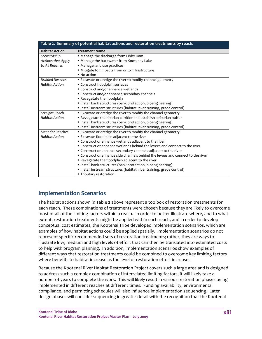| Table 2. Summary of potential habitat actions and restoration treatments by reach. |                                                                                 |  |  |
|------------------------------------------------------------------------------------|---------------------------------------------------------------------------------|--|--|
| <b>Habitat Action</b>                                                              | <b>Treatment Name</b>                                                           |  |  |
| Stewardship                                                                        | " Manage the discharge from Libby Dam                                           |  |  |
| <b>Actions that Apply</b>                                                          | " Manage the backwater from Kootenay Lake                                       |  |  |
| to All Reaches                                                                     | • Manage land use practices                                                     |  |  |
|                                                                                    | Mitigate for impacts from or to infrastructure                                  |  |  |
|                                                                                    | $\blacksquare$ No action                                                        |  |  |
| <b>Braided Reaches</b>                                                             | " Excavate or dredge the river to modify channel geometry                       |  |  |
| <b>Habitat Action</b>                                                              | Construct floodplain surfaces                                                   |  |  |
|                                                                                    | Construct and/or enhance wetlands                                               |  |  |
|                                                                                    | " Construct and/or enhance secondary channels                                   |  |  |
|                                                                                    | Revegetate the floodplain                                                       |  |  |
|                                                                                    | Install bank structures (bank protection, bioengineering)                       |  |  |
|                                                                                    | Install instream structures (habitat, river training, grade control)            |  |  |
| Straight Reach                                                                     | Excavate or dredge the river to modify the channel geometry                     |  |  |
| <b>Habitat Action</b>                                                              | " Revegetate the riparian corridor and establish a riparian buffer              |  |  |
|                                                                                    | Install bank structures (bank protection, bioengineering)                       |  |  |
|                                                                                    | Install instream structures (habitat, river training, grade control)            |  |  |
| <b>Meander Reaches</b>                                                             | Excavate or dredge the river to modify the channel geometry                     |  |  |
| <b>Habitat Action</b>                                                              | Excavate floodplain adjacent to the river                                       |  |  |
|                                                                                    | " Construct or enhance wetlands adjacent to the river                           |  |  |
|                                                                                    | • Construct or enhance wetlands behind the levees and connect to the river      |  |  |
|                                                                                    | • Construct or enhance secondary channels adjacent to the river                 |  |  |
|                                                                                    | • Construct or enhance side channels behind the levees and connect to the river |  |  |
|                                                                                    | Revegetate the floodplain adjacent to the river                                 |  |  |
|                                                                                    | Install bank structures (bank protection, bioengineering)                       |  |  |
|                                                                                    | Install instream structures (habitat, river training, grade control)            |  |  |
|                                                                                    | ■ Tributary restoration                                                         |  |  |

### **Implementation Scenarios**

The habitat actions shown in Table 2 above represent a toolbox of restoration treatments for each reach. These combinations of treatments were chosen because they are likely to overcome most or all of the limiting factors within a reach. In order to better illustrate where, and to what extent, restoration treatments might be applied within each reach, and in order to develop conceptual cost estimates, the Kootenai Tribe developed implementation scenarios, which are examples of how habitat actions could be applied spatially. Implementation scenarios do not represent specific recommended sets of restoration treatments; rather, they are ways to illustrate low, medium and high levels of effort that can then be translated into estimated costs to help with program planning. In addition, implementation scenarios show examples of different ways that restoration treatments could be combined to overcome key limiting factors where benefits to habitat increase as the level of restoration effort increases.

Because the Kootenai River Habitat Restoration Project covers such a large area and is designed to address such a complex combination of interrelated limiting factors, it will likely take a number of years to complete the work. This will likely result in various restoration phases being implemented in different reaches at different times. Funding availability, environmental compliance, and permitting schedules will also influence implementation sequencing. Later design phases will consider sequencing in greater detail with the recognition that the Kootenai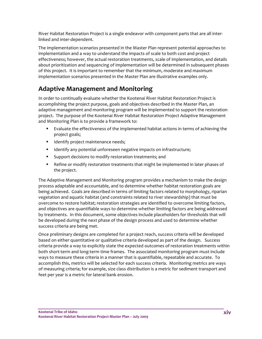River Habitat Restoration Project is a single endeavor with component parts that are all inter‐ linked and inter‐dependent.

The implementation scenarios presented in the Master Plan represent potential approaches to implementation and a way to understand the impacts of scale to both cost and project effectiveness; however, the actual restoration treatments, scale of implementation, and details about prioritization and sequencing of implementation will be determined in subsequent phases of this project. It is important to remember that the minimum, moderate and maximum implementation scenarios presented in the Master Plan are illustrative examples only.

## **Adaptive Management and Monitoring**

In order to continually evaluate whether the Kootenai River Habitat Restoration Project is accomplishing the project purpose, goals and objectives described in the Master Plan, an adaptive management and monitoring program will be implemented to support the restoration project. The purpose of the Kootenai River Habitat Restoration Project Adaptive Management and Monitoring Plan is to provide a framework to:

- Evaluate the effectiveness of the implemented habitat actions in terms of achieving the project goals;
- **IDENTIFY PROJECT MAINTER IS NOTEN IN THE ISL**
- **IDENTIFY any potential unforeseen negative impacts on infrastructure;**
- Support decisions to modify restoration treatments; and
- **Parager 1** Refine or modify restoration treatments that might be implemented in later phases of the project.

The Adaptive Management and Monitoring program provides a mechanism to make the design process adaptable and accountable, and to determine whether habitat restoration goals are being achieved. Goals are described in terms of limiting factors related to morphology, riparian vegetation and aquatic habitat (and constraints related to river stewardship) that must be overcome to restore habitat; restoration strategies are identified to overcome limiting factors, and objectives are quantifiable ways to determine whether limiting factors are being addressed by treatments. In this document, some objectives include placeholders for thresholds that will be developed during the next phase of the design process and used to determine whether success criteria are being met.

Once preliminary designs are completed for a project reach, success criteria will be developed based on either quantitative or qualitative criteria developed as part of the design. Success criteria provide a way to explicitly state the expected outcomes of restoration treatments within both short‐term and long‐term time frames. The associated monitoring program must include ways to measure these criteria in a manner that is quantifiable, repeatable and accurate. To accomplish this, metrics will be selected for each success criteria. Monitoring metrics are ways of measuring criteria; for example, size class distribution is a metric for sediment transport and feet per year is a metric for lateral bank erosion.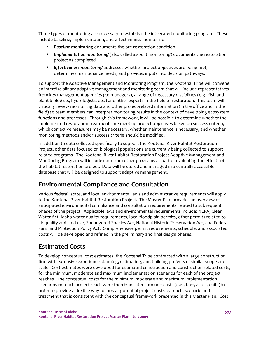Three types of monitoring are necessary to establish the integrated monitoring program. These include baseline, implementation, and effectiveness monitoring.

- **Baseline monitoring** documents the pre-restoration condition.
- **Implementation monitoring** (also called as-built monitoring) documents the restoration project as completed.
- *Effectiveness monitoring* addresses whether project objectives are being met, determines maintenance needs, and provides inputs into decision pathways.

To support the Adaptive Management and Monitoring Program, the Kootenai Tribe will convene an interdisciplinary adaptive management and monitoring team that will include representatives from key management agencies (co-managers), a range of necessary disciplines (e.g., fish and plant biologists, hydrologists, etc.) and other experts in the field of restoration. This team will critically review monitoring data and other project‐related information (in the office and in the field) so team members can interpret monitoring results in the context of developing ecosystem functions and processes. Through this framework, it will be possible to determine whether the implemented restoration treatments are meeting project objectives based on success criteria, which corrective measures may be necessary, whether maintenance is necessary, and whether monitoring methods and/or success criteria should be modified.

In addition to data collected specifically to support the Kootenai River Habitat Restoration Project, other data focused on biological populations are currently being collected to support related programs. The Kootenai River Habitat Restoration Project Adaptive Management and Monitoring Program will include data from other programs as part of evaluating the effects of the habitat restoration project. Data will be stored and managed in a centrally accessible database that will be designed to support adaptive management.

## **Environmental Compliance and Consultation**

Various federal, state, and local environmental laws and administrative requirements will apply to the Kootenai River Habitat Restoration Project. The Master Plan provides an overview of anticipated environmental compliance and consultation requirements related to subsequent phases of the project. Applicable laws and environmental requirements include: NEPA, Clean Water Act, Idaho water quality requirements, local floodplain permits, other permits related to air quality and land use, Endangered Species Act, National Historic Preservation Act, and Federal Farmland Protection Policy Act. Comprehensive permit requirements, schedule, and associated costs will be developed and refined in the preliminary and final design phases.

## **Estimated Costs**

To develop conceptual cost estimates, the Kootenai Tribe contracted with a large construction firm with extensive experience planning, estimating, and building projects of similar scope and scale. Cost estimates were developed for estimated construction and construction related costs, for the minimum, moderate and maximum implementation scenarios for each of the project reaches. The conceptual costs for the minimum, moderate and maximum implementation scenarios for each project reach were then translated into unit costs (e.g., feet, acres, units) in order to provide a flexible way to look at potential project costs by reach, scenario and treatment that is consistent with the conceptual framework presented in this Master Plan. Cost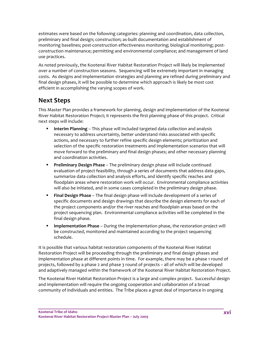estimates were based on the following categories: planning and coordination, data collection, preliminary and final design; construction; as‐built documentation and establishment of monitoring baselines; post-construction effectiveness monitoring; biological monitoring; postconstruction maintenance; permitting and environmental compliance; and management of land use practices.

As noted previously, the Kootenai River Habitat Restoration Project will likely be implemented over a number of construction seasons. Sequencing will be extremely important in managing costs. As designs and implementation strategies and planning are refined during preliminary and final design phases, it will be possible to determine which approach is likely be most cost efficient in accomplishing the varying scopes of work.

## **Next Steps**

This Master Plan provides a framework for planning, design and implementation of the Kootenai River Habitat Restoration Project; it represents the first planning phase of this project. Critical next steps will include:

- **Interim Planning** This phase will included targeted data collection and analysis necessary to address uncertainty, better understand risks associated with specific actions, and necessary to further refine specific design elements; prioritization and selection of the specific restoration treatments and implementation scenarios that will move forward to the preliminary and final design phases; and other necessary planning and coordination activities.
- **Preliminary Design Phase** The preliminary design phase will include continued evaluation of project feasibility, through a series of documents that address data gaps, summarize data collection and analysis efforts, and identify specific reaches and floodplain areas where restoration work will occur. Environmental compliance activities will also be initiated, and in some cases completed in the preliminary design phase.
- **Final Design Phase** The final design phase will include development of a series of specific documents and design drawings that describe the design elements for each of the project components and/or the river reaches and floodplain areas based on the project sequencing plan. Environmental compliance activities will be completed in the final design phase.
- **Implementation Phase** During the implementation phase, the restoration project will be constructed, monitored and maintained according to the project sequencing schedule.

It is possible that various habitat restoration components of the Kootenai River Habitat Restoration Project will be proceeding through the preliminary and final design phases and implementation phase at different points in time. For example, there may be a phase 1 round of projects, followed by a phase 2 and phase 3 round of projects – all of which will be developed and adaptively managed within the framework of the Kootenai River Habitat Restoration Project.

The Kootenai River Habitat Restoration Project is a large and complex project. Successful design and implementation will require the ongoing cooperation and collaboration of a broad community of individuals and entities. The Tribe places a great deal of importance in ongoing